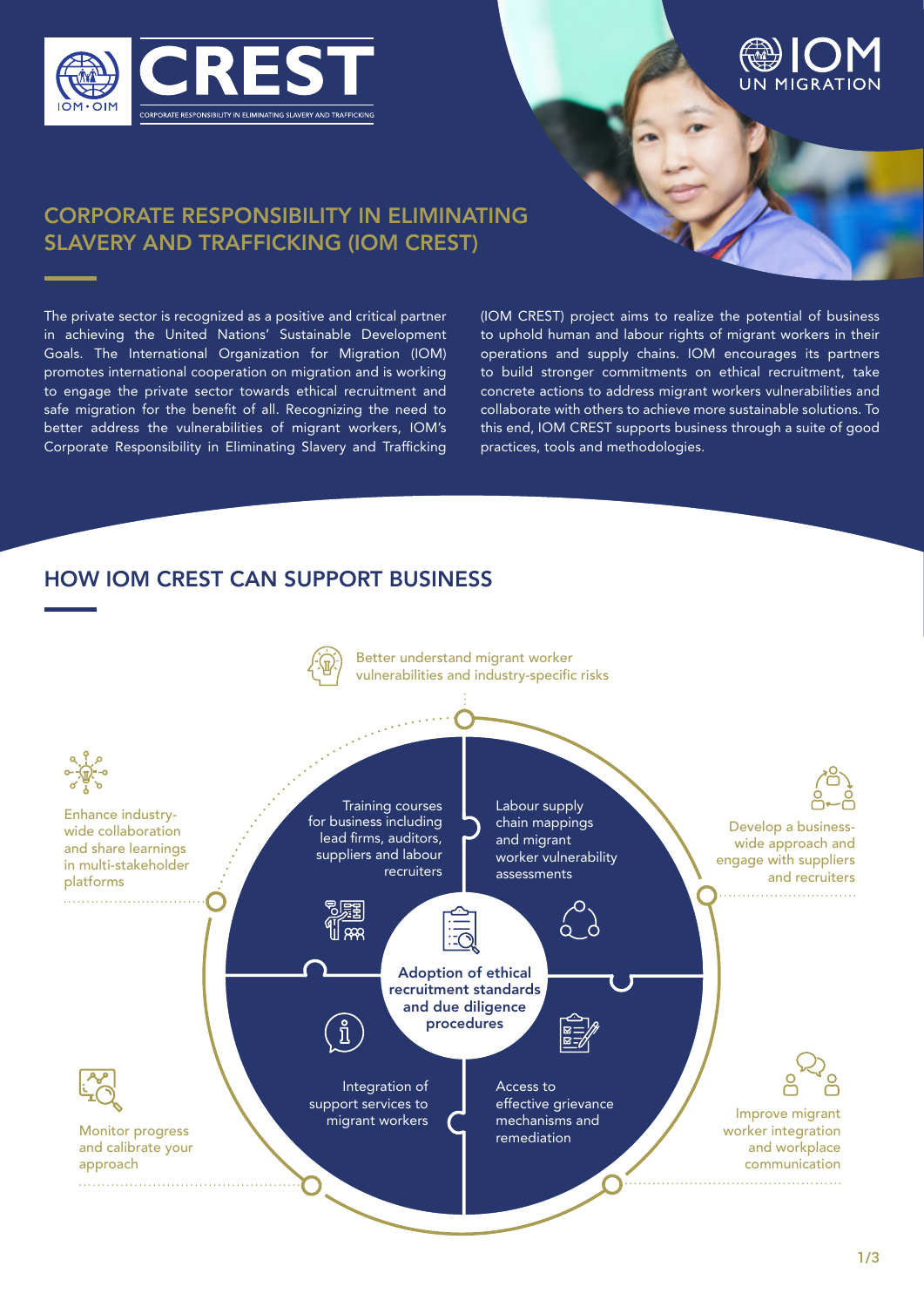



## CORPORATE RESPONSIBILITY IN ELIMINATING SLAVERY AND TRAFFICKING (IOM CREST)

The private sector is recognized as a positive and critical partner in achieving the United Nations' Sustainable Development Goals. The International Organization for Migration (IOM) promotes international cooperation on migration and is working to engage the private sector towards ethical recruitment and safe migration for the benefit of all. Recognizing the need to better address the vulnerabilities of migrant workers, IOM's Corporate Responsibility in Eliminating Slavery and Trafficking

(IOM CREST) project aims to realize the potential of business to uphold human and labour rights of migrant workers in their operations and supply chains. IOM encourages its partners to build stronger commitments on ethical recruitment, take concrete actions to address migrant workers vulnerabilities and collaborate with others to achieve more sustainable solutions. To this end, IOM CREST supports business through a suite of good practices, tools and methodologies.

## HOW IOM CREST CAN SUPPORT BUSINESS

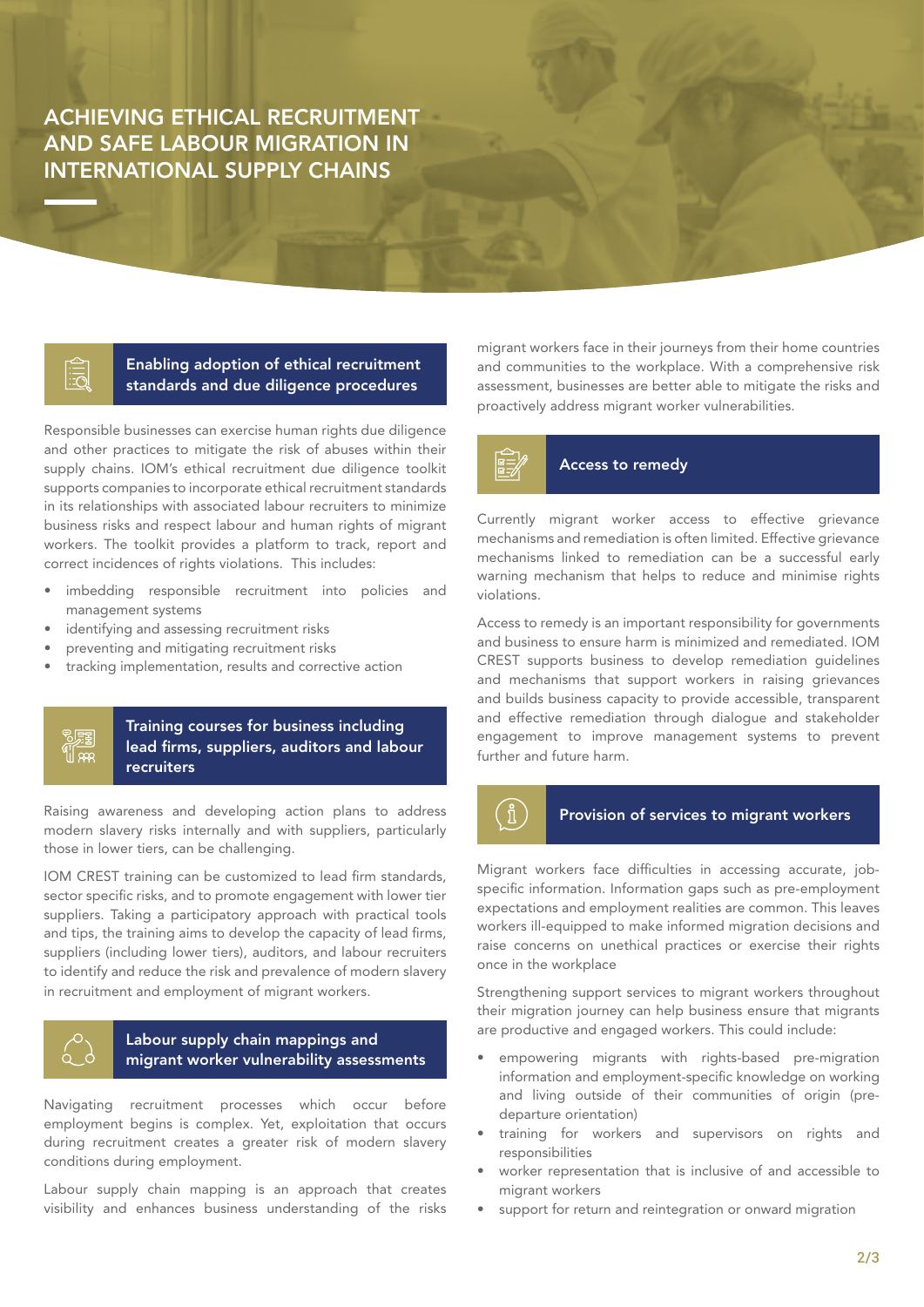ACHIEVING ETHICAL RECRUITMENT AND SAFE LABOUR MIGRATION IN INTERNATIONAL SUPPLY CHAINS

> Enabling adoption of ethical recruitment standards and due diligence procedures

Responsible businesses can exercise human rights due diligence and other practices to mitigate the risk of abuses within their supply chains. IOM's ethical recruitment due diligence toolkit supports companies to incorporate ethical recruitment standards in its relationships with associated labour recruiters to minimize business risks and respect labour and human rights of migrant workers. The toolkit provides a platform to track, report and correct incidences of rights violations. This includes:

- imbedding responsible recruitment into policies and management systems
- identifying and assessing recruitment risks
- preventing and mitigating recruitment risks
- tracking implementation, results and corrective action

#### Training courses for business including lead firms, suppliers, auditors and labour recruiters

Raising awareness and developing action plans to address modern slavery risks internally and with suppliers, particularly those in lower tiers, can be challenging.

IOM CREST training can be customized to lead firm standards, sector specific risks, and to promote engagement with lower tier suppliers. Taking a participatory approach with practical tools and tips, the training aims to develop the capacity of lead firms, suppliers (including lower tiers), auditors, and labour recruiters to identify and reduce the risk and prevalence of modern slavery in recruitment and employment of migrant workers.



別頭  $\frac{41}{2}$ 

### Labour supply chain mappings and migrant worker vulnerability assessments

Navigating recruitment processes which occur before employment begins is complex. Yet, exploitation that occurs during recruitment creates a greater risk of modern slavery conditions during employment.

Labour supply chain mapping is an approach that creates visibility and enhances business understanding of the risks

migrant workers face in their journeys from their home countries and communities to the workplace. With a comprehensive risk assessment, businesses are better able to mitigate the risks and proactively address migrant worker vulnerabilities.

### Access to remedy

Currently migrant worker access to effective grievance mechanisms and remediation is often limited. Effective grievance mechanisms linked to remediation can be a successful early warning mechanism that helps to reduce and minimise rights violations.

Access to remedy is an important responsibility for governments and business to ensure harm is minimized and remediated. IOM CREST supports business to develop remediation guidelines and mechanisms that support workers in raising grievances and builds business capacity to provide accessible, transparent and effective remediation through dialogue and stakeholder engagement to improve management systems to prevent further and future harm.

## $\widehat{\mathbb{1}}$ Provision of services to migrant workers

Migrant workers face difficulties in accessing accurate, jobspecific information. Information gaps such as pre-employment expectations and employment realities are common. This leaves workers ill-equipped to make informed migration decisions and raise concerns on unethical practices or exercise their rights once in the workplace

Strengthening support services to migrant workers throughout their migration journey can help business ensure that migrants are productive and engaged workers. This could include:

- empowering migrants with rights-based pre-migration information and employment-specific knowledge on working and living outside of their communities of origin (predeparture orientation)
- training for workers and supervisors on rights and responsibilities
- worker representation that is inclusive of and accessible to migrant workers
- support for return and reintegration or onward migration